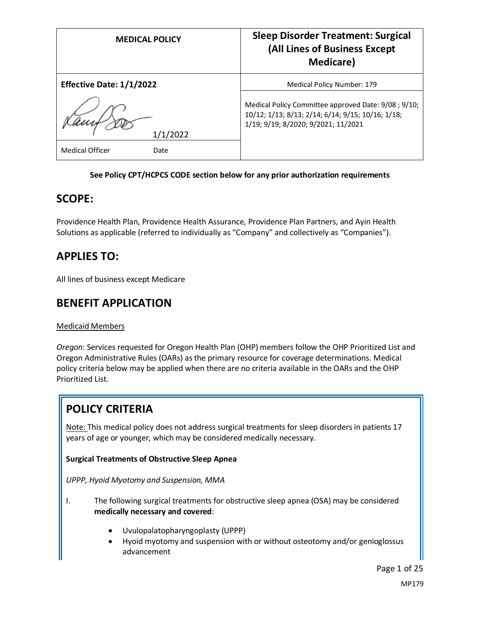| <b>MEDICAL POLICY</b>           | <b>Sleep Disorder Treatment: Surgical</b><br>(All Lines of Business Except<br><b>Medicare</b> )                                                  |
|---------------------------------|--------------------------------------------------------------------------------------------------------------------------------------------------|
| <b>Effective Date: 1/1/2022</b> | Medical Policy Number: 179                                                                                                                       |
| 1/1/2022                        | Medical Policy Committee approved Date: 9/08 ; 9/10;<br>10/12; 1/13; 8/13; 2/14; 6/14; 9/15; 10/16; 1/18;<br>1/19; 9/19; 8/2020; 9/2021; 11/2021 |
| <b>Medical Officer</b><br>Date  |                                                                                                                                                  |

#### **See Policy CPT/HCPCS CODE section below for any prior authorization requirements**

## **SCOPE:**

Providence Health Plan, Providence Health Assurance, Providence Plan Partners, and Ayin Health Solutions as applicable (referred to individually as "Company" and collectively as "Companies").

# **APPLIES TO:**

All lines of business except Medicare

## **BENEFIT APPLICATION**

#### Medicaid Members

*Oregon*: Services requested for Oregon Health Plan (OHP) members follow the OHP Prioritized List and Oregon Administrative Rules (OARs) as the primary resource for coverage determinations. Medical policy criteria below may be applied when there are no criteria available in the OARs and the OHP Prioritized List.

# **POLICY CRITERIA**

Note: This medical policy does not address surgical treatments for sleep disorders in patients 17 years of age or younger, which may be considered medically necessary.

#### **Surgical Treatments of Obstructive Sleep Apnea**

*UPPP, Hyoid Myotomy and Suspension, MMA*

- I. The following surgical treatments for obstructive sleep apnea (OSA) may be considered **medically necessary and covered**:
	- Uvulopalatopharyngoplasty (UPPP)
	- Hyoid myotomy and suspension with or without osteotomy and/or genioglossus advancement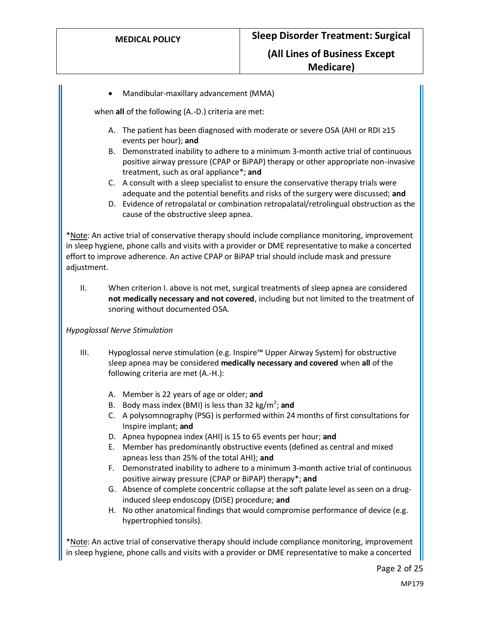• Mandibular-maxillary advancement (MMA)

when **all** of the following (A.-D.) criteria are met:

- A. The patient has been diagnosed with moderate or severe OSA (AHI or RDI ≥15 events per hour); **and**
- B. Demonstrated inability to adhere to a minimum 3-month active trial of continuous positive airway pressure (CPAP or BiPAP) therapy or other appropriate non-invasive treatment, such as oral appliance\*; **and**
- C. A consult with a sleep specialist to ensure the conservative therapy trials were adequate and the potential benefits and risks of the surgery were discussed; **and**
- D. Evidence of retropalatal or combination retropalatal/retrolingual obstruction as the cause of the obstructive sleep apnea.

\*Note: An active trial of conservative therapy should include compliance monitoring, improvement in sleep hygiene, phone calls and visits with a provider or DME representative to make a concerted effort to improve adherence. An active CPAP or BiPAP trial should include mask and pressure adjustment.

II. When criterion I. above is not met, surgical treatments of sleep apnea are considered **not medically necessary and not covered**, including but not limited to the treatment of snoring without documented OSA.

#### *Hypoglossal Nerve Stimulation*

- III. Hypoglossal nerve stimulation (e.g. Inspire™ Upper Airway System) for obstructive sleep apnea may be considered **medically necessary and covered** when **all** of the following criteria are met (A.-H.):
	- A. Member is 22 years of age or older; **and**
	- B. Body mass index (BMI) is less than 32 kg/m<sup>2</sup>; and
	- C. A polysomnography (PSG) is performed within 24 months of first consultations for Inspire implant; **and**
	- D. Apnea hypopnea index (AHI) is 15 to 65 events per hour; **and**
	- E. Member has predominantly obstructive events (defined as central and mixed apneas less than 25% of the total AHI); **and**
	- F. Demonstrated inability to adhere to a minimum 3-month active trial of continuous positive airway pressure (CPAP or BiPAP) therapy\*; **and**
	- G. Absence of complete concentric collapse at the soft palate level as seen on a druginduced sleep endoscopy (DISE) procedure; **and**
	- H. No other anatomical findings that would compromise performance of device (e.g. hypertrophied tonsils).

\*Note: An active trial of conservative therapy should include compliance monitoring, improvement in sleep hygiene, phone calls and visits with a provider or DME representative to make a concerted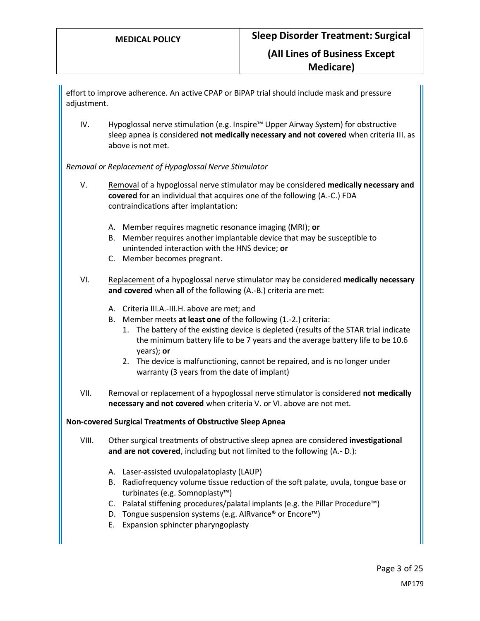effort to improve adherence. An active CPAP or BiPAP trial should include mask and pressure adjustment.

IV. Hypoglossal nerve stimulation (e.g. Inspire™ Upper Airway System) for obstructive sleep apnea is considered **not medically necessary and not covered** when criteria III. as above is not met.

*Removal or Replacement of Hypoglossal Nerve Stimulator*

- V. Removal of a hypoglossal nerve stimulator may be considered **medically necessary and covered** for an individual that acquires one of the following (A.-C.) FDA contraindications after implantation:
	- A. Member requires magnetic resonance imaging (MRI); **or**
	- B. Member requires another implantable device that may be susceptible to unintended interaction with the HNS device; **or**
	- C. Member becomes pregnant.
- VI. Replacement of a hypoglossal nerve stimulator may be considered **medically necessary and covered** when **all** of the following (A.-B.) criteria are met:
	- A. Criteria III.A.-III.H. above are met; and
	- B. Member meets **at least one** of the following (1.-2.) criteria:
		- 1. The battery of the existing device is depleted (results of the STAR trial indicate the minimum battery life to be 7 years and the average battery life to be 10.6 years); **or**
		- 2. The device is malfunctioning, cannot be repaired, and is no longer under warranty (3 years from the date of implant)
- VII. Removal or replacement of a hypoglossal nerve stimulator is considered **not medically necessary and not covered** when criteria V. or VI. above are not met.

#### **Non-covered Surgical Treatments of Obstructive Sleep Apnea**

- VIII. Other surgical treatments of obstructive sleep apnea are considered **investigational and are not covered**, including but not limited to the following (A.- D.):
	- A. Laser-assisted uvulopalatoplasty (LAUP)
	- B. Radiofrequency volume tissue reduction of the soft palate, uvula, tongue base or turbinates (e.g. Somnoplasty™)
	- C. Palatal stiffening procedures/palatal implants (e.g. the Pillar Procedure™)
	- D. Tongue suspension systems (e.g. AIRvance® or Encore™)
	- E. Expansion sphincter pharyngoplasty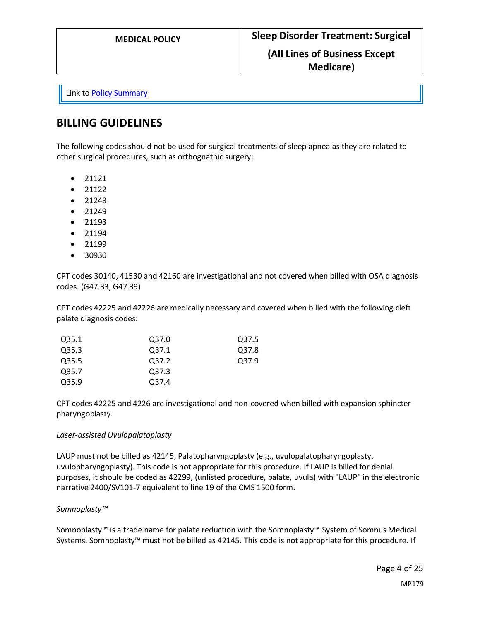Link t[o Policy Summary](#page-19-0)

## **BILLING GUIDELINES**

The following codes should not be used for surgical treatments of sleep apnea as they are related to other surgical procedures, such as orthognathic surgery:

- 21121
- 21122
- 21248
- 21249
- 21193
- 21194
- 21199
- 30930

CPT codes 30140, 41530 and 42160 are investigational and not covered when billed with OSA diagnosis codes. (G47.33, G47.39)

CPT codes 42225 and 42226 are medically necessary and covered when billed with the following cleft palate diagnosis codes:

| Q35.1 | Q37.0 | Q37.5 |
|-------|-------|-------|
| Q35.3 | Q37.1 | Q37.8 |
| Q35.5 | Q37.2 | Q37.9 |
| Q35.7 | Q37.3 |       |
| Q35.9 | Q37.4 |       |

CPT codes 42225 and 4226 are investigational and non-covered when billed with expansion sphincter pharyngoplasty.

#### *Laser-assisted Uvulopalatoplasty*

LAUP must not be billed as 42145, Palatopharyngoplasty (e.g., uvulopalatopharyngoplasty, uvulopharyngoplasty). This code is not appropriate for this procedure. If LAUP is billed for denial purposes, it should be coded as 42299, (unlisted procedure, palate, uvula) with "LAUP" in the electronic narrative 2400/SV101-7 equivalent to line 19 of the CMS 1500 form.

#### *Somnoplasty™*

Somnoplasty™ is a trade name for palate reduction with the Somnoplasty™ System of Somnus Medical Systems. Somnoplasty™ must not be billed as 42145. This code is not appropriate for this procedure. If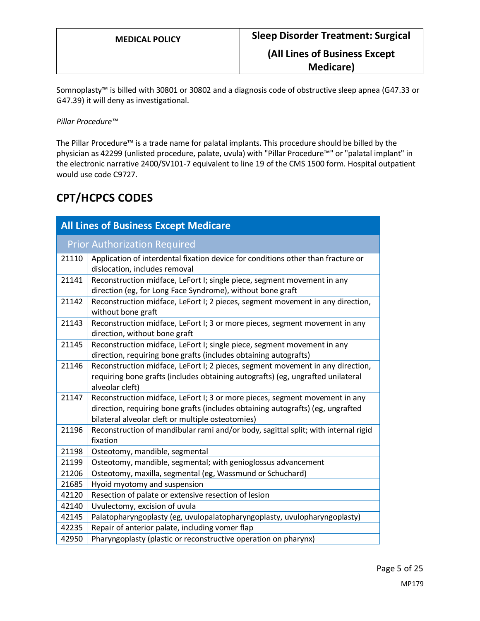Somnoplasty™ is billed with 30801 or 30802 and a diagnosis code of obstructive sleep apnea (G47.33 or G47.39) it will deny as investigational.

*Pillar Procedure™* 

The Pillar Procedure™ is a trade name for palatal implants. This procedure should be billed by the physician as 42299 (unlisted procedure, palate, uvula) with "Pillar Procedure™" or "palatal implant" in the electronic narrative 2400/SV101-7 equivalent to line 19 of the CMS 1500 form. Hospital outpatient would use code C9727.

# **CPT/HCPCS CODES**

| <b>All Lines of Business Except Medicare</b> |                                                                                                                                                                                                                     |  |
|----------------------------------------------|---------------------------------------------------------------------------------------------------------------------------------------------------------------------------------------------------------------------|--|
|                                              | <b>Prior Authorization Required</b>                                                                                                                                                                                 |  |
| 21110                                        | Application of interdental fixation device for conditions other than fracture or<br>dislocation, includes removal                                                                                                   |  |
| 21141                                        | Reconstruction midface, LeFort I; single piece, segment movement in any<br>direction (eg, for Long Face Syndrome), without bone graft                                                                               |  |
| 21142                                        | Reconstruction midface, LeFort I; 2 pieces, segment movement in any direction,<br>without bone graft                                                                                                                |  |
| 21143                                        | Reconstruction midface, LeFort I; 3 or more pieces, segment movement in any<br>direction, without bone graft                                                                                                        |  |
| 21145                                        | Reconstruction midface, LeFort I; single piece, segment movement in any<br>direction, requiring bone grafts (includes obtaining autografts)                                                                         |  |
| 21146                                        | Reconstruction midface, LeFort I; 2 pieces, segment movement in any direction,<br>requiring bone grafts (includes obtaining autografts) (eg, ungrafted unilateral<br>alveolar cleft)                                |  |
| 21147                                        | Reconstruction midface, LeFort I; 3 or more pieces, segment movement in any<br>direction, requiring bone grafts (includes obtaining autografts) (eg, ungrafted<br>bilateral alveolar cleft or multiple osteotomies) |  |
| 21196                                        | Reconstruction of mandibular rami and/or body, sagittal split; with internal rigid<br>fixation                                                                                                                      |  |
| 21198                                        | Osteotomy, mandible, segmental                                                                                                                                                                                      |  |
| 21199                                        | Osteotomy, mandible, segmental; with genioglossus advancement                                                                                                                                                       |  |
| 21206                                        | Osteotomy, maxilla, segmental (eg, Wassmund or Schuchard)                                                                                                                                                           |  |
| 21685                                        | Hyoid myotomy and suspension                                                                                                                                                                                        |  |
| 42120                                        | Resection of palate or extensive resection of lesion                                                                                                                                                                |  |
| 42140                                        | Uvulectomy, excision of uvula                                                                                                                                                                                       |  |
| 42145                                        | Palatopharyngoplasty (eg, uvulopalatopharyngoplasty, uvulopharyngoplasty)                                                                                                                                           |  |
| 42235                                        | Repair of anterior palate, including vomer flap                                                                                                                                                                     |  |
| 42950                                        | Pharyngoplasty (plastic or reconstructive operation on pharynx)                                                                                                                                                     |  |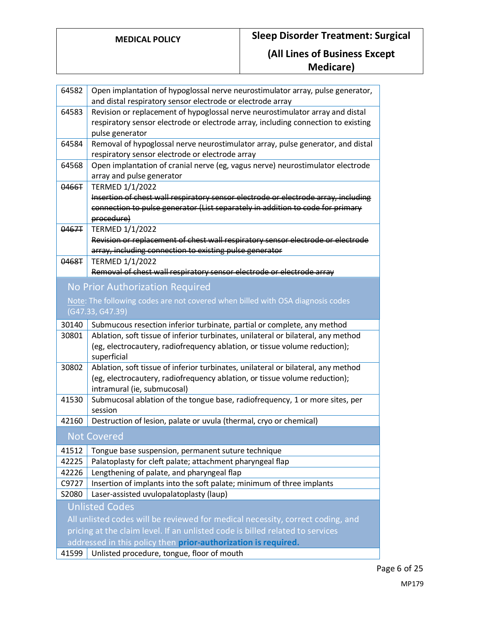| 64582                                                                         | Open implantation of hypoglossal nerve neurostimulator array, pulse generator,<br>and distal respiratory sensor electrode or electrode array |  |
|-------------------------------------------------------------------------------|----------------------------------------------------------------------------------------------------------------------------------------------|--|
| 64583                                                                         | Revision or replacement of hypoglossal nerve neurostimulator array and distal                                                                |  |
|                                                                               | respiratory sensor electrode or electrode array, including connection to existing                                                            |  |
|                                                                               | pulse generator                                                                                                                              |  |
| 64584                                                                         | Removal of hypoglossal nerve neurostimulator array, pulse generator, and distal                                                              |  |
|                                                                               | respiratory sensor electrode or electrode array                                                                                              |  |
| 64568                                                                         | Open implantation of cranial nerve (eg, vagus nerve) neurostimulator electrode                                                               |  |
|                                                                               | array and pulse generator                                                                                                                    |  |
| 0466T                                                                         | <b>TERMED 1/1/2022</b>                                                                                                                       |  |
|                                                                               | Insertion of chest wall respiratory sensor electrode or electrode array, including                                                           |  |
|                                                                               | connection to pulse generator (List separately in addition to code for primary                                                               |  |
|                                                                               | procedure)                                                                                                                                   |  |
| 0467T                                                                         | <b>TERMED 1/1/2022</b><br>Revision or replacement of chest wall respiratory sensor electrode or electrode                                    |  |
|                                                                               | array, including connection to existing pulse generator                                                                                      |  |
| 0468T                                                                         | <b>TERMED 1/1/2022</b>                                                                                                                       |  |
|                                                                               | Removal of chest wall respiratory sensor electrode or electrode array                                                                        |  |
|                                                                               |                                                                                                                                              |  |
|                                                                               | No Prior Authorization Required                                                                                                              |  |
|                                                                               | Note: The following codes are not covered when billed with OSA diagnosis codes                                                               |  |
|                                                                               | (G47.33, G47.39)                                                                                                                             |  |
| 30140                                                                         | Submucous resection inferior turbinate, partial or complete, any method                                                                      |  |
| 30801                                                                         | Ablation, soft tissue of inferior turbinates, unilateral or bilateral, any method                                                            |  |
|                                                                               | (eg, electrocautery, radiofrequency ablation, or tissue volume reduction);                                                                   |  |
|                                                                               | superficial                                                                                                                                  |  |
| 30802                                                                         | Ablation, soft tissue of inferior turbinates, unilateral or bilateral, any method                                                            |  |
|                                                                               | (eg, electrocautery, radiofrequency ablation, or tissue volume reduction);                                                                   |  |
|                                                                               | intramural (ie, submucosal)                                                                                                                  |  |
| 41530                                                                         | Submucosal ablation of the tongue base, radiofrequency, 1 or more sites, per                                                                 |  |
| 42160                                                                         | session<br>Destruction of lesion, palate or uvula (thermal, cryo or chemical)                                                                |  |
|                                                                               |                                                                                                                                              |  |
|                                                                               | <b>Not Covered</b>                                                                                                                           |  |
| 41512                                                                         | Tongue base suspension, permanent suture technique                                                                                           |  |
| 42225                                                                         | Palatoplasty for cleft palate; attachment pharyngeal flap                                                                                    |  |
| 42226                                                                         | Lengthening of palate, and pharyngeal flap                                                                                                   |  |
| C9727                                                                         | Insertion of implants into the soft palate; minimum of three implants                                                                        |  |
| S2080                                                                         | Laser-assisted uvulopalatoplasty (laup)                                                                                                      |  |
|                                                                               | <b>Unlisted Codes</b>                                                                                                                        |  |
|                                                                               | All unlisted codes will be reviewed for medical necessity, correct coding, and                                                               |  |
| pricing at the claim level. If an unlisted code is billed related to services |                                                                                                                                              |  |
|                                                                               | addressed in this policy then prior-authorization is required.                                                                               |  |
| 41599                                                                         | Unlisted procedure, tongue, floor of mouth                                                                                                   |  |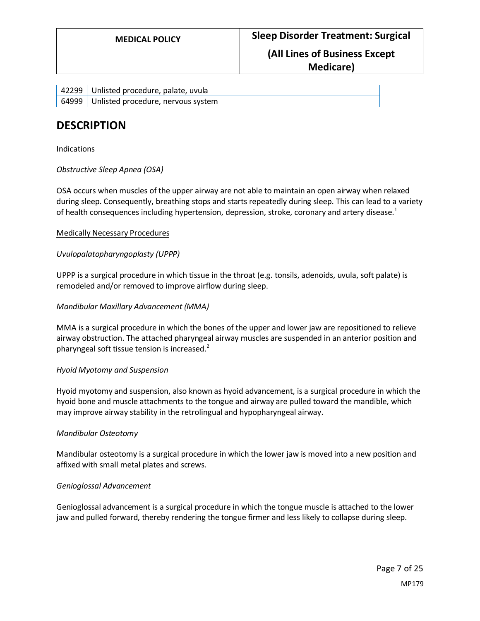### **Medicare)**

| 42299 Unlisted procedure, palate, uvula  |
|------------------------------------------|
| 64999 Unlisted procedure, nervous system |

## **DESCRIPTION**

#### Indications

*Obstructive Sleep Apnea (OSA)*

OSA occurs when muscles of the upper airway are not able to maintain an open airway when relaxed during sleep. Consequently, breathing stops and starts repeatedly during sleep. This can lead to a variety of health consequences including hypertension, depression, stroke, coronary and artery disease.<sup>1</sup>

#### Medically Necessary Procedures

#### *Uvulopalatopharyngoplasty (UPPP)*

UPPP is a surgical procedure in which tissue in the throat (e.g. tonsils, adenoids, uvula, soft palate) is remodeled and/or removed to improve airflow during sleep.

#### *Mandibular Maxillary Advancement (MMA)*

MMA is a surgical procedure in which the bones of the upper and lower jaw are repositioned to relieve airway obstruction. The attached pharyngeal airway muscles are suspended in an anterior position and pharyngeal soft tissue tension is increased.<sup>2</sup>

#### *Hyoid Myotomy and Suspension*

Hyoid myotomy and suspension, also known as hyoid advancement, is a surgical procedure in which the hyoid bone and muscle attachments to the tongue and airway are pulled toward the mandible, which may improve airway stability in the retrolingual and hypopharyngeal airway.

#### *Mandibular Osteotomy*

Mandibular osteotomy is a surgical procedure in which the lower jaw is moved into a new position and affixed with small metal plates and screws.

#### *Genioglossal Advancement*

Genioglossal advancement is a surgical procedure in which the tongue muscle is attached to the lower jaw and pulled forward, thereby rendering the tongue firmer and less likely to collapse during sleep.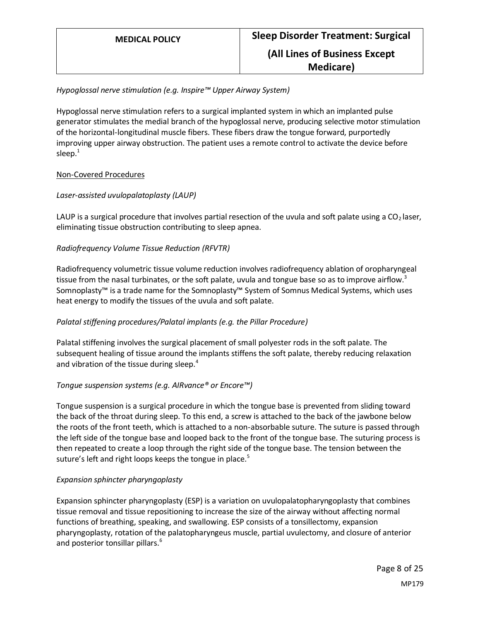#### *Hypoglossal nerve stimulation (e.g. Inspire™ Upper Airway System)*

Hypoglossal nerve stimulation refers to a surgical implanted system in which an implanted pulse generator stimulates the medial branch of the hypoglossal nerve, producing selective motor stimulation of the horizontal-longitudinal muscle fibers. These fibers draw the tongue forward, purportedly improving upper airway obstruction. The patient uses a remote control to activate the device before sleep. $1$ 

#### Non-Covered Procedures

#### *Laser-assisted uvulopalatoplasty (LAUP)*

LAUP is a surgical procedure that involves partial resection of the uvula and soft palate using a  $CO<sub>2</sub>$  laser, eliminating tissue obstruction contributing to sleep apnea.

#### *Radiofrequency Volume Tissue Reduction (RFVTR)*

Radiofrequency volumetric tissue volume reduction involves radiofrequency ablation of oropharyngeal tissue from the nasal turbinates, or the soft palate, uvula and tongue base so as to improve airflow.<sup>3</sup> Somnoplasty™ is a trade name for the Somnoplasty™ System of Somnus Medical Systems, which uses heat energy to modify the tissues of the uvula and soft palate.

#### *Palatal stiffening procedures/Palatal implants (e.g. the Pillar Procedure)*

Palatal stiffening involves the surgical placement of small polyester rods in the soft palate. The subsequent healing of tissue around the implants stiffens the soft palate, thereby reducing relaxation and vibration of the tissue during sleep. $4$ 

#### *Tongue suspension systems (e.g. AIRvance® or Encore™)*

Tongue suspension is a surgical procedure in which the tongue base is prevented from sliding toward the back of the throat during sleep. To this end, a screw is attached to the back of the jawbone below the roots of the front teeth, which is attached to a non-absorbable suture. The suture is passed through the left side of the tongue base and looped back to the front of the tongue base. The suturing process is then repeated to create a loop through the right side of the tongue base. The tension between the suture's left and right loops keeps the tongue in place.<sup>5</sup>

#### *Expansion sphincter pharyngoplasty*

Expansion sphincter pharyngoplasty (ESP) is a variation on uvulopalatopharyngoplasty that combines tissue removal and tissue repositioning to increase the size of the airway without affecting normal functions of breathing, speaking, and swallowing. ESP consists of a tonsillectomy, expansion pharyngoplasty, rotation of the palatopharyngeus muscle, partial uvulectomy, and closure of anterior and posterior tonsillar pillars.<sup>6</sup>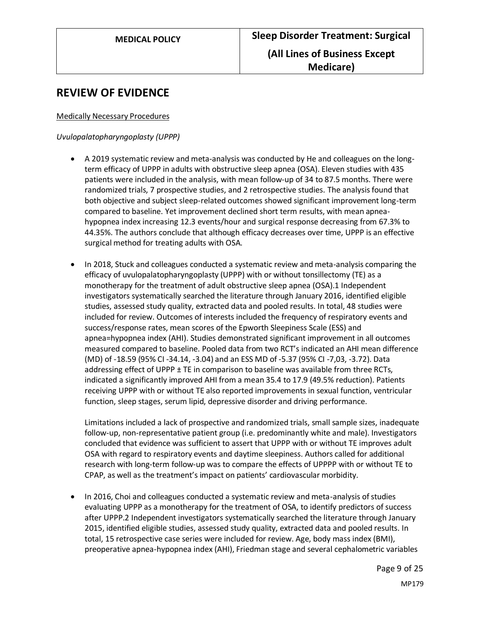## **REVIEW OF EVIDENCE**

#### Medically Necessary Procedures

#### *Uvulopalatopharyngoplasty (UPPP)*

- A 2019 systematic review and meta-analysis was conducted by He and colleagues on the longterm efficacy of UPPP in adults with obstructive sleep apnea (OSA). Eleven studies with 435 patients were included in the analysis, with mean follow-up of 34 to 87.5 months. There were randomized trials, 7 prospective studies, and 2 retrospective studies. The analysis found that both objective and subject sleep-related outcomes showed significant improvement long-term compared to baseline. Yet improvement declined short term results, with mean apneahypopnea index increasing 12.3 events/hour and surgical response decreasing from 67.3% to 44.35%. The authors conclude that although efficacy decreases over time, UPPP is an effective surgical method for treating adults with OSA.
- In 2018, Stuck and colleagues conducted a systematic review and meta-analysis comparing the efficacy of uvulopalatopharyngoplasty (UPPP) with or without tonsillectomy (TE) as a monotherapy for the treatment of adult obstructive sleep apnea (OSA).1 Independent investigators systematically searched the literature through January 2016, identified eligible studies, assessed study quality, extracted data and pooled results. In total, 48 studies were included for review. Outcomes of interests included the frequency of respiratory events and success/response rates, mean scores of the Epworth Sleepiness Scale (ESS) and apnea=hypopnea index (AHI). Studies demonstrated significant improvement in all outcomes measured compared to baseline. Pooled data from two RCT's indicated an AHI mean difference (MD) of -18.59 (95% CI -34.14, -3.04) and an ESS MD of -5.37 (95% CI -7,03, -3.72). Data addressing effect of UPPP  $\pm$  TE in comparison to baseline was available from three RCTs, indicated a significantly improved AHI from a mean 35.4 to 17.9 (49.5% reduction). Patients receiving UPPP with or without TE also reported improvements in sexual function, ventricular function, sleep stages, serum lipid, depressive disorder and driving performance.

Limitations included a lack of prospective and randomized trials, small sample sizes, inadequate follow-up, non-representative patient group (i.e. predominantly white and male). Investigators concluded that evidence was sufficient to assert that UPPP with or without TE improves adult OSA with regard to respiratory events and daytime sleepiness. Authors called for additional research with long-term follow-up was to compare the effects of UPPPP with or without TE to CPAP, as well as the treatment's impact on patients' cardiovascular morbidity.

• In 2016, Choi and colleagues conducted a systematic review and meta-analysis of studies evaluating UPPP as a monotherapy for the treatment of OSA, to identify predictors of success after UPPP.2 Independent investigators systematically searched the literature through January 2015, identified eligible studies, assessed study quality, extracted data and pooled results. In total, 15 retrospective case series were included for review. Age, body mass index (BMI), preoperative apnea-hypopnea index (AHI), Friedman stage and several cephalometric variables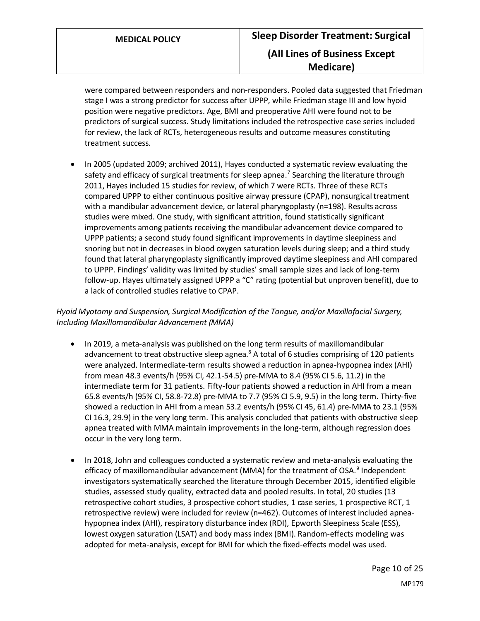were compared between responders and non-responders. Pooled data suggested that Friedman stage I was a strong predictor for success after UPPP, while Friedman stage III and low hyoid position were negative predictors. Age, BMI and preoperative AHI were found not to be predictors of surgical success. Study limitations included the retrospective case series included for review, the lack of RCTs, heterogeneous results and outcome measures constituting treatment success.

• In 2005 (updated 2009; archived 2011), Hayes conducted a systematic review evaluating the safety and efficacy of surgical treatments for sleep apnea.<sup>7</sup> Searching the literature through 2011, Hayes included 15 studies for review, of which 7 were RCTs. Three of these RCTs compared UPPP to either continuous positive airway pressure (CPAP), nonsurgical treatment with a mandibular advancement device, or lateral pharyngoplasty (n=198). Results across studies were mixed. One study, with significant attrition, found statistically significant improvements among patients receiving the mandibular advancement device compared to UPPP patients; a second study found significant improvements in daytime sleepiness and snoring but not in decreases in blood oxygen saturation levels during sleep; and a third study found that lateral pharyngoplasty significantly improved daytime sleepiness and AHI compared to UPPP. Findings' validity was limited by studies' small sample sizes and lack of long-term follow-up. Hayes ultimately assigned UPPP a "C" rating (potential but unproven benefit), due to a lack of controlled studies relative to CPAP.

*Hyoid Myotomy and Suspension, Surgical Modification of the Tongue, and/or Maxillofacial Surgery, Including Maxillomandibular Advancement (MMA)*

- In 2019, a meta-analysis was published on the long term results of maxillomandibular advancement to treat obstructive sleep agnea. $8$  A total of 6 studies comprising of 120 patients were analyzed. Intermediate-term results showed a reduction in apnea-hypopnea index (AHI) from mean 48.3 events/h (95% CI, 42.1-54.5) pre-MMA to 8.4 (95% CI 5.6, 11.2) in the intermediate term for 31 patients. Fifty-four patients showed a reduction in AHI from a mean 65.8 events/h (95% CI, 58.8-72.8) pre-MMA to 7.7 (95% CI 5.9, 9.5) in the long term. Thirty-five showed a reduction in AHI from a mean 53.2 events/h (95% CI 45, 61.4) pre-MMA to 23.1 (95% CI 16.3, 29.9) in the very long term. This analysis concluded that patients with obstructive sleep apnea treated with MMA maintain improvements in the long-term, although regression does occur in the very long term.
- In 2018, John and colleagues conducted a systematic review and meta-analysis evaluating the efficacy of maxillomandibular advancement (MMA) for the treatment of OSA.<sup>9</sup> Independent investigators systematically searched the literature through December 2015, identified eligible studies, assessed study quality, extracted data and pooled results. In total, 20 studies (13 retrospective cohort studies, 3 prospective cohort studies, 1 case series, 1 prospective RCT, 1 retrospective review) were included for review (n=462). Outcomes of interest included apneahypopnea index (AHI), respiratory disturbance index (RDI), Epworth Sleepiness Scale (ESS), lowest oxygen saturation (LSAT) and body mass index (BMI). Random-effects modeling was adopted for meta-analysis, except for BMI for which the fixed-effects model was used.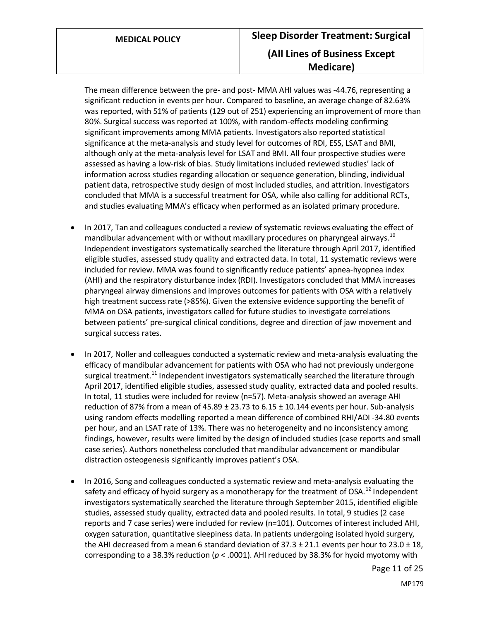The mean difference between the pre- and post- MMA AHI values was -44.76, representing a significant reduction in events per hour. Compared to baseline, an average change of 82.63% was reported, with 51% of patients (129 out of 251) experiencing an improvement of more than 80%. Surgical success was reported at 100%, with random-effects modeling confirming significant improvements among MMA patients. Investigators also reported statistical significance at the meta-analysis and study level for outcomes of RDI, ESS, LSAT and BMI, although only at the meta-analysis level for LSAT and BMI. All four prospective studies were assessed as having a low-risk of bias. Study limitations included reviewed studies' lack of information across studies regarding allocation or sequence generation, blinding, individual patient data, retrospective study design of most included studies, and attrition. Investigators concluded that MMA is a successful treatment for OSA, while also calling for additional RCTs, and studies evaluating MMA's efficacy when performed as an isolated primary procedure.

- In 2017, Tan and colleagues conducted a review of systematic reviews evaluating the effect of mandibular advancement with or without maxillary procedures on pharyngeal airways.<sup>10</sup> Independent investigators systematically searched the literature through April 2017, identified eligible studies, assessed study quality and extracted data. In total, 11 systematic reviews were included for review. MMA was found to significantly reduce patients' apnea-hyopnea index (AHI) and the respiratory disturbance index (RDI). Investigators concluded that MMA increases pharyngeal airway dimensions and improves outcomes for patients with OSA with a relatively high treatment success rate (>85%). Given the extensive evidence supporting the benefit of MMA on OSA patients, investigators called for future studies to investigate correlations between patients' pre-surgical clinical conditions, degree and direction of jaw movement and surgical success rates.
- In 2017, Noller and colleagues conducted a systematic review and meta-analysis evaluating the efficacy of mandibular advancement for patients with OSA who had not previously undergone surgical treatment.<sup>11</sup> Independent investigators systematically searched the literature through April 2017, identified eligible studies, assessed study quality, extracted data and pooled results. In total, 11 studies were included for review (n=57). Meta-analysis showed an average AHI reduction of 87% from a mean of 45.89  $\pm$  23.73 to 6.15  $\pm$  10.144 events per hour. Sub-analysis using random effects modelling reported a mean difference of combined RHI/ADI -34.80 events per hour, and an LSAT rate of 13%. There was no heterogeneity and no inconsistency among findings, however, results were limited by the design of included studies (case reports and small case series). Authors nonetheless concluded that mandibular advancement or mandibular distraction osteogenesis significantly improves patient's OSA.
- In 2016, Song and colleagues conducted a systematic review and meta-analysis evaluating the safety and efficacy of hyoid surgery as a monotherapy for the treatment of OSA.<sup>12</sup> Independent investigators systematically searched the literature through September 2015, identified eligible studies, assessed study quality, extracted data and pooled results. In total, 9 studies (2 case reports and 7 case series) were included for review (n=101). Outcomes of interest included AHI, oxygen saturation, quantitative sleepiness data. In patients undergoing isolated hyoid surgery, the AHI decreased from a mean 6 standard deviation of  $37.3 \pm 21.1$  events per hour to  $23.0 \pm 18$ , corresponding to a 38.3% reduction ( $p < .0001$ ). AHI reduced by 38.3% for hyoid myotomy with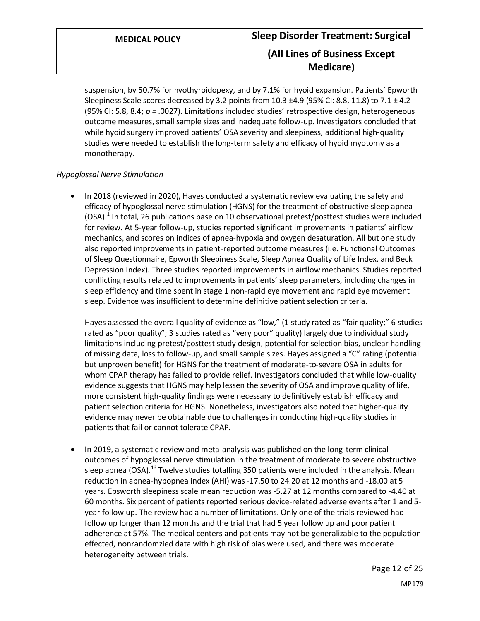suspension, by 50.7% for hyothyroidopexy, and by 7.1% for hyoid expansion. Patients' Epworth Sleepiness Scale scores decreased by 3.2 points from  $10.3 \pm 4.9$  (95% CI: 8.8, 11.8) to 7.1  $\pm$  4.2 (95% CI: 5.8, 8.4; *p =* .0027). Limitations included studies' retrospective design, heterogeneous outcome measures, small sample sizes and inadequate follow-up. Investigators concluded that while hyoid surgery improved patients' OSA severity and sleepiness, additional high-quality studies were needed to establish the long-term safety and efficacy of hyoid myotomy as a monotherapy.

#### *Hypoglossal Nerve Stimulation*

• In 2018 (reviewed in 2020), Hayes conducted a systematic review evaluating the safety and efficacy of hypoglossal nerve stimulation (HGNS) for the treatment of obstructive sleep apnea (OSA).<sup>1</sup> In total, 26 publications base on 10 observational pretest/posttest studies were included for review. At 5-year follow-up, studies reported significant improvements in patients' airflow mechanics, and scores on indices of apnea-hypoxia and oxygen desaturation. All but one study also reported improvements in patient-reported outcome measures (i.e. Functional Outcomes of Sleep Questionnaire, Epworth Sleepiness Scale, Sleep Apnea Quality of Life Index, and Beck Depression Index). Three studies reported improvements in airflow mechanics. Studies reported conflicting results related to improvements in patients' sleep parameters, including changes in sleep efficiency and time spent in stage 1 non-rapid eye movement and rapid eye movement sleep. Evidence was insufficient to determine definitive patient selection criteria.

Hayes assessed the overall quality of evidence as "low," (1 study rated as "fair quality;" 6 studies rated as "poor quality"; 3 studies rated as "very poor" quality) largely due to individual study limitations including pretest/posttest study design, potential for selection bias, unclear handling of missing data, loss to follow-up, and small sample sizes. Hayes assigned a "C" rating (potential but unproven benefit) for HGNS for the treatment of moderate-to-severe OSA in adults for whom CPAP therapy has failed to provide relief. Investigators concluded that while low-quality evidence suggests that HGNS may help lessen the severity of OSA and improve quality of life, more consistent high-quality findings were necessary to definitively establish efficacy and patient selection criteria for HGNS. Nonetheless, investigators also noted that higher-quality evidence may never be obtainable due to challenges in conducting high-quality studies in patients that fail or cannot tolerate CPAP.

• In 2019, a systematic review and meta-analysis was published on the long-term clinical outcomes of hypoglossal nerve stimulation in the treatment of moderate to severe obstructive sleep apnea (OSA).<sup>13</sup> Twelve studies totalling 350 patients were included in the analysis. Mean reduction in apnea-hypopnea index (AHI) was -17.50 to 24.20 at 12 months and -18.00 at 5 years. Epsworth sleepiness scale mean reduction was -5.27 at 12 months compared to -4.40 at 60 months. Six percent of patients reported serious device-related adverse events after 1 and 5 year follow up. The review had a number of limitations. Only one of the trials reviewed had follow up longer than 12 months and the trial that had 5 year follow up and poor patient adherence at 57%. The medical centers and patients may not be generalizable to the population effected, nonrandomzied data with high risk of bias were used, and there was moderate heterogeneity between trials.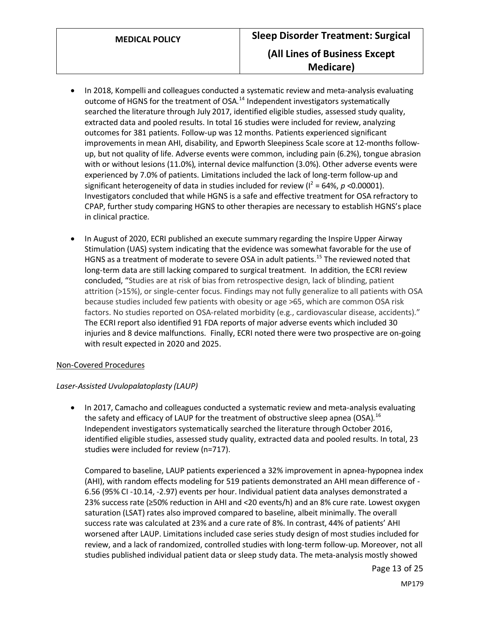- In 2018, Kompelli and colleagues conducted a systematic review and meta-analysis evaluating outcome of HGNS for the treatment of OSA.<sup>14</sup> Independent investigators systematically searched the literature through July 2017, identified eligible studies, assessed study quality, extracted data and pooled results. In total 16 studies were included for review, analyzing outcomes for 381 patients. Follow-up was 12 months. Patients experienced significant improvements in mean AHI, disability, and Epworth Sleepiness Scale score at 12-months followup, but not quality of life. Adverse events were common, including pain (6.2%), tongue abrasion with or without lesions (11.0%), internal device malfunction (3.0%). Other adverse events were experienced by 7.0% of patients. Limitations included the lack of long-term follow-up and significant heterogeneity of data in studies included for review ( $I^2$  = 64%,  $p$  <0.00001). Investigators concluded that while HGNS is a safe and effective treatment for OSA refractory to CPAP, further study comparing HGNS to other therapies are necessary to establish HGNS's place in clinical practice.
- In August of 2020, ECRI published an execute summary regarding the Inspire Upper Airway Stimulation (UAS) system indicating that the evidence was somewhat favorable for the use of HGNS as a treatment of moderate to severe OSA in adult patients.<sup>15</sup> The reviewed noted that long-term data are still lacking compared to surgical treatment. In addition, the ECRI review concluded, "Studies are at risk of bias from retrospective design, lack of blinding, patient attrition (>15%), or single-center focus. Findings may not fully generalize to all patients with OSA because studies included few patients with obesity or age >65, which are common OSA risk factors. No studies reported on OSA-related morbidity (e.g., cardiovascular disease, accidents)." The ECRI report also identified 91 FDA reports of major adverse events which included 30 injuries and 8 device malfunctions. Finally, ECRI noted there were two prospective are on-going with result expected in 2020 and 2025.

#### Non-Covered Procedures

#### *Laser-Assisted Uvulopalatoplasty (LAUP)*

• In 2017, Camacho and colleagues conducted a systematic review and meta-analysis evaluating the safety and efficacy of LAUP for the treatment of obstructive sleep apnea (OSA).<sup>16</sup> Independent investigators systematically searched the literature through October 2016, identified eligible studies, assessed study quality, extracted data and pooled results. In total, 23 studies were included for review (n=717).

Compared to baseline, LAUP patients experienced a 32% improvement in apnea-hypopnea index (AHI), with random effects modeling for 519 patients demonstrated an AHI mean difference of - 6.56 (95% CI -10.14, -2.97) events per hour. Individual patient data analyses demonstrated a 23% success rate (≥50% reduction in AHI and <20 events/h) and an 8% cure rate. Lowest oxygen saturation (LSAT) rates also improved compared to baseline, albeit minimally. The overall success rate was calculated at 23% and a cure rate of 8%. In contrast, 44% of patients' AHI worsened after LAUP. Limitations included case series study design of most studies included for review, and a lack of randomized, controlled studies with long-term follow-up. Moreover, not all studies published individual patient data or sleep study data. The meta-analysis mostly showed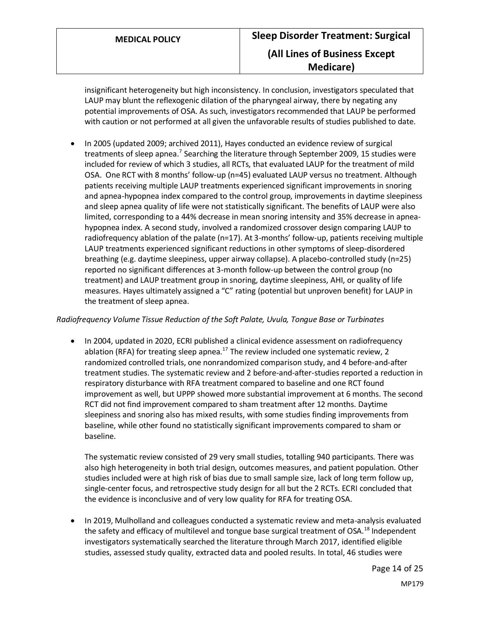insignificant heterogeneity but high inconsistency. In conclusion, investigators speculated that LAUP may blunt the reflexogenic dilation of the pharyngeal airway, there by negating any potential improvements of OSA. As such, investigators recommended that LAUP be performed with caution or not performed at all given the unfavorable results of studies published to date.

• In 2005 (updated 2009; archived 2011), Hayes conducted an evidence review of surgical treatments of sleep apnea.<sup>7</sup> Searching the literature through September 2009, 15 studies were included for review of which 3 studies, all RCTs, that evaluated LAUP for the treatment of mild OSA. One RCT with 8 months' follow-up (n=45) evaluated LAUP versus no treatment. Although patients receiving multiple LAUP treatments experienced significant improvements in snoring and apnea-hypopnea index compared to the control group, improvements in daytime sleepiness and sleep apnea quality of life were not statistically significant. The benefits of LAUP were also limited, corresponding to a 44% decrease in mean snoring intensity and 35% decrease in apneahypopnea index. A second study, involved a randomized crossover design comparing LAUP to radiofrequency ablation of the palate (n=17). At 3-months' follow-up, patients receiving multiple LAUP treatments experienced significant reductions in other symptoms of sleep-disordered breathing (e.g. daytime sleepiness, upper airway collapse). A placebo-controlled study (n=25) reported no significant differences at 3-month follow-up between the control group (no treatment) and LAUP treatment group in snoring, daytime sleepiness, AHI, or quality of life measures. Hayes ultimately assigned a "C" rating (potential but unproven benefit) for LAUP in the treatment of sleep apnea.

#### *Radiofrequency Volume Tissue Reduction of the Soft Palate, Uvula, Tongue Base or Turbinates*

• In 2004, updated in 2020, ECRI published a clinical evidence assessment on radiofrequency ablation (RFA) for treating sleep apnea.<sup>17</sup> The review included one systematic review, 2 randomized controlled trials, one nonrandomized comparison study, and 4 before-and-after treatment studies. The systematic review and 2 before-and-after-studies reported a reduction in respiratory disturbance with RFA treatment compared to baseline and one RCT found improvement as well, but UPPP showed more substantial improvement at 6 months. The second RCT did not find improvement compared to sham treatment after 12 months. Daytime sleepiness and snoring also has mixed results, with some studies finding improvements from baseline, while other found no statistically significant improvements compared to sham or baseline.

The systematic review consisted of 29 very small studies, totalling 940 participants. There was also high heterogeneity in both trial design, outcomes measures, and patient population. Other studies included were at high risk of bias due to small sample size, lack of long term follow up, single-center focus, and retrospective study design for all but the 2 RCTs. ECRI concluded that the evidence is inconclusive and of very low quality for RFA for treating OSA.

• In 2019, Mulholland and colleagues conducted a systematic review and meta-analysis evaluated the safety and efficacy of multilevel and tongue base surgical treatment of OSA.<sup>18</sup> Independent investigators systematically searched the literature through March 2017, identified eligible studies, assessed study quality, extracted data and pooled results. In total, 46 studies were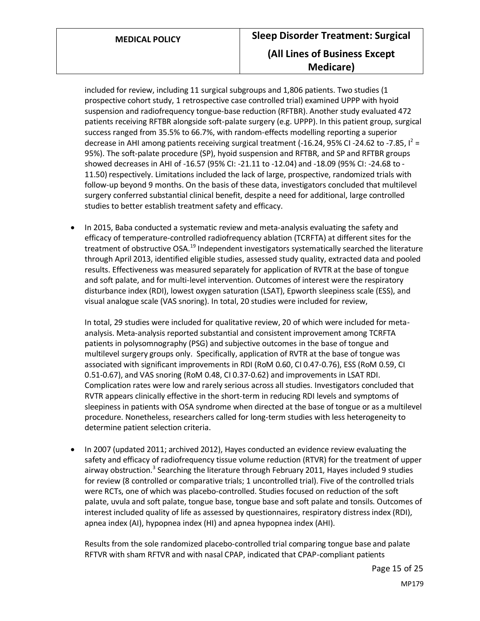included for review, including 11 surgical subgroups and 1,806 patients. Two studies (1 prospective cohort study, 1 retrospective case controlled trial) examined UPPP with hyoid suspension and radiofrequency tongue-base reduction (RFTBR). Another study evaluated 472 patients receiving RFTBR alongside soft-palate surgery (e.g. UPPP). In this patient group, surgical success ranged from 35.5% to 66.7%, with random-effects modelling reporting a superior decrease in AHI among patients receiving surgical treatment (-16.24, 95% CI -24.62 to -7.85,  $I^2$  = 95%). The soft-palate procedure (SP), hyoid suspension and RFTBR, and SP and RFTBR groups showed decreases in AHI of -16.57 (95% CI: -21.11 to -12.04) and -18.09 (95% CI: -24.68 to - 11.50) respectively. Limitations included the lack of large, prospective, randomized trials with follow-up beyond 9 months. On the basis of these data, investigators concluded that multilevel surgery conferred substantial clinical benefit, despite a need for additional, large controlled studies to better establish treatment safety and efficacy.

• In 2015, Baba conducted a systematic review and meta-analysis evaluating the safety and efficacy of temperature-controlled radiofrequency ablation (TCRFTA) at different sites for the treatment of obstructive OSA.<sup>19</sup> Independent investigators systematically searched the literature through April 2013, identified eligible studies, assessed study quality, extracted data and pooled results. Effectiveness was measured separately for application of RVTR at the base of tongue and soft palate, and for multi-level intervention. Outcomes of interest were the respiratory disturbance index (RDI), lowest oxygen saturation (LSAT), Epworth sleepiness scale (ESS), and visual analogue scale (VAS snoring). In total, 20 studies were included for review,

In total, 29 studies were included for qualitative review, 20 of which were included for metaanalysis. Meta-analysis reported substantial and consistent improvement among TCRFTA patients in polysomnography (PSG) and subjective outcomes in the base of tongue and multilevel surgery groups only. Specifically, application of RVTR at the base of tongue was associated with significant improvements in RDI (RoM 0.60, CI 0.47-0.76), ESS (RoM 0.59, CI 0.51-0.67), and VAS snoring (RoM 0.48, CI 0.37-0.62) and improvements in LSAT RDI. Complication rates were low and rarely serious across all studies. Investigators concluded that RVTR appears clinically effective in the short-term in reducing RDI levels and symptoms of sleepiness in patients with OSA syndrome when directed at the base of tongue or as a multilevel procedure. Nonetheless, researchers called for long-term studies with less heterogeneity to determine patient selection criteria.

• In 2007 (updated 2011; archived 2012), Hayes conducted an evidence review evaluating the safety and efficacy of radiofrequency tissue volume reduction (RTVR) for the treatment of upper airway obstruction.<sup>3</sup> Searching the literature through February 2011, Hayes included 9 studies for review (8 controlled or comparative trials; 1 uncontrolled trial). Five of the controlled trials were RCTs, one of which was placebo-controlled. Studies focused on reduction of the soft palate, uvula and soft palate, tongue base, tongue base and soft palate and tonsils. Outcomes of interest included quality of life as assessed by questionnaires, respiratory distress index (RDI), apnea index (AI), hypopnea index (HI) and apnea hypopnea index (AHI).

Results from the sole randomized placebo-controlled trial comparing tongue base and palate RFTVR with sham RFTVR and with nasal CPAP, indicated that CPAP-compliant patients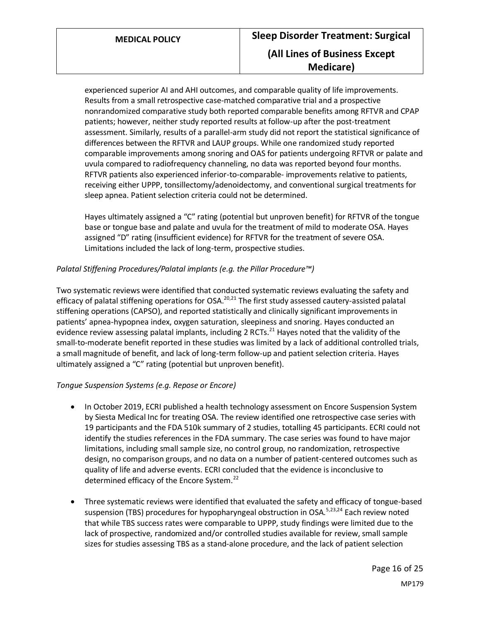experienced superior AI and AHI outcomes, and comparable quality of life improvements. Results from a small retrospective case-matched comparative trial and a prospective nonrandomized comparative study both reported comparable benefits among RFTVR and CPAP patients; however, neither study reported results at follow-up after the post-treatment assessment. Similarly, results of a parallel-arm study did not report the statistical significance of differences between the RFTVR and LAUP groups. While one randomized study reported comparable improvements among snoring and OAS for patients undergoing RFTVR or palate and uvula compared to radiofrequency channeling, no data was reported beyond four months. RFTVR patients also experienced inferior-to-comparable- improvements relative to patients, receiving either UPPP, tonsillectomy/adenoidectomy, and conventional surgical treatments for sleep apnea. Patient selection criteria could not be determined.

Hayes ultimately assigned a "C" rating (potential but unproven benefit) for RFTVR of the tongue base or tongue base and palate and uvula for the treatment of mild to moderate OSA. Hayes assigned "D" rating (insufficient evidence) for RFTVR for the treatment of severe OSA. Limitations included the lack of long-term, prospective studies.

### *Palatal Stiffening Procedures/Palatal implants (e.g. the Pillar Procedure™)*

Two systematic reviews were identified that conducted systematic reviews evaluating the safety and efficacy of palatal stiffening operations for OSA.<sup>20,21</sup> The first study assessed cautery-assisted palatal stiffening operations (CAPSO), and reported statistically and clinically significant improvements in patients' apnea-hypopnea index, oxygen saturation, sleepiness and snoring. Hayes conducted an evidence review assessing palatal implants, including 2 RCTs.<sup>21</sup> Hayes noted that the validity of the small-to-moderate benefit reported in these studies was limited by a lack of additional controlled trials, a small magnitude of benefit, and lack of long-term follow-up and patient selection criteria. Hayes ultimately assigned a "C" rating (potential but unproven benefit).

#### *Tongue Suspension Systems (e.g. Repose or Encore)*

- In October 2019, ECRI published a health technology assessment on Encore Suspension System by Siesta Medical Inc for treating OSA. The review identified one retrospective case series with 19 participants and the FDA 510k summary of 2 studies, totalling 45 participants. ECRI could not identify the studies references in the FDA summary. The case series was found to have major limitations, including small sample size, no control group, no randomization, retrospective design, no comparison groups, and no data on a number of patient-centered outcomes such as quality of life and adverse events. ECRI concluded that the evidence is inconclusive to determined efficacy of the Encore System.<sup>22</sup>
- Three systematic reviews were identified that evaluated the safety and efficacy of tongue-based suspension (TBS) procedures for hypopharyngeal obstruction in OSA.<sup>5,23,24</sup> Each review noted that while TBS success rates were comparable to UPPP, study findings were limited due to the lack of prospective, randomized and/or controlled studies available for review, small sample sizes for studies assessing TBS as a stand-alone procedure, and the lack of patient selection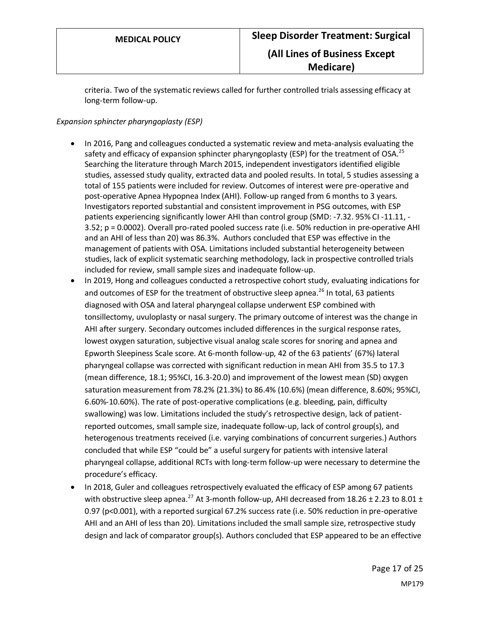criteria. Two of the systematic reviews called for further controlled trials assessing efficacy at long-term follow-up.

#### *Expansion sphincter pharyngoplasty (ESP)*

- In 2016, Pang and colleagues conducted a systematic review and meta-analysis evaluating the safety and efficacy of expansion sphincter pharyngoplasty (ESP) for the treatment of OSA.<sup>25</sup> Searching the literature through March 2015, independent investigators identified eligible studies, assessed study quality, extracted data and pooled results. In total, 5 studies assessing a total of 155 patients were included for review. Outcomes of interest were pre-operative and post-operative Apnea Hypopnea Index (AHI). Follow-up ranged from 6 months to 3 years. Investigators reported substantial and consistent improvement in PSG outcomes, with ESP patients experiencing significantly lower AHI than control group (SMD: -7.32. 95% CI -11.11, - 3.52; p = 0.0002). Overall pro-rated pooled success rate (i.e. 50% reduction in pre-operative AHI and an AHI of less than 20) was 86.3%. Authors concluded that ESP was effective in the management of patients with OSA. Limitations included substantial heterogeneity between studies, lack of explicit systematic searching methodology, lack in prospective controlled trials included for review, small sample sizes and inadequate follow-up.
- In 2019, Hong and colleagues conducted a retrospective cohort study, evaluating indications for and outcomes of ESP for the treatment of obstructive sleep apnea.<sup>26</sup> In total, 63 patients diagnosed with OSA and lateral pharyngeal collapse underwent ESP combined with tonsillectomy, uvuloplasty or nasal surgery. The primary outcome of interest was the change in AHI after surgery. Secondary outcomes included differences in the surgical response rates, lowest oxygen saturation, subjective visual analog scale scores for snoring and apnea and Epworth Sleepiness Scale score. At 6-month follow-up, 42 of the 63 patients' (67%) lateral pharyngeal collapse was corrected with significant reduction in mean AHI from 35.5 to 17.3 (mean difference, 18.1; 95%CI, 16.3-20.0) and improvement of the lowest mean (SD) oxygen saturation measurement from 78.2% (21.3%) to 86.4% (10.6%) (mean difference, 8.60%; 95%CI, 6.60%-10.60%). The rate of post-operative complications (e.g. bleeding, pain, difficulty swallowing) was low. Limitations included the study's retrospective design, lack of patientreported outcomes, small sample size, inadequate follow-up, lack of control group(s), and heterogenous treatments received (i.e. varying combinations of concurrent surgeries.) Authors concluded that while ESP "could be" a useful surgery for patients with intensive lateral pharyngeal collapse, additional RCTs with long-term follow-up were necessary to determine the procedure's efficacy.
- In 2018, Guler and colleagues retrospectively evaluated the efficacy of ESP among 67 patients with obstructive sleep apnea.<sup>27</sup> At 3-month follow-up, AHI decreased from 18.26  $\pm$  2.23 to 8.01  $\pm$ 0.97 (p<0.001), with a reported surgical 67.2% success rate (i.e. 50% reduction in pre-operative AHI and an AHI of less than 20). Limitations included the small sample size, retrospective study design and lack of comparator group(s). Authors concluded that ESP appeared to be an effective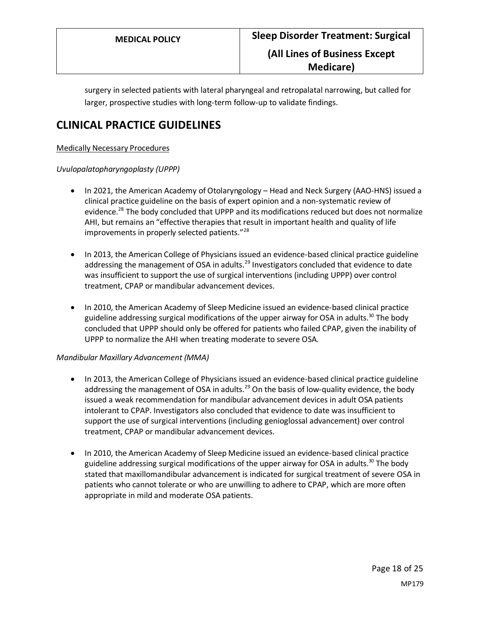surgery in selected patients with lateral pharyngeal and retropalatal narrowing, but called for larger, prospective studies with long-term follow-up to validate findings.

## **CLINICAL PRACTICE GUIDELINES**

#### Medically Necessary Procedures

#### *Uvulopalatopharyngoplasty (UPPP)*

- In 2021, the American Academy of Otolaryngology Head and Neck Surgery (AAO-HNS) issued a clinical practice guideline on the basis of expert opinion and a non-systematic review of evidence.<sup>28</sup> The body concluded that UPPP and its modifications reduced but does not normalize AHI, but remains an "effective therapies that result in important health and quality of life improvements in properly selected patients."<sup>28</sup>
- In 2013, the American College of Physicians issued an evidence-based clinical practice guideline addressing the management of OSA in adults.<sup>29</sup> Investigators concluded that evidence to date was insufficient to support the use of surgical interventions (including UPPP) over control treatment, CPAP or mandibular advancement devices.
- In 2010, the American Academy of Sleep Medicine issued an evidence-based clinical practice guideline addressing surgical modifications of the upper airway for OSA in adults.<sup>30</sup> The body concluded that UPPP should only be offered for patients who failed CPAP, given the inability of UPPP to normalize the AHI when treating moderate to severe OSA.

#### *Mandibular Maxillary Advancement (MMA)*

- In 2013, the American College of Physicians issued an evidence-based clinical practice guideline addressing the management of OSA in adults.<sup>29</sup> On the basis of low-quality evidence, the body issued a weak recommendation for mandibular advancement devices in adult OSA patients intolerant to CPAP. Investigators also concluded that evidence to date was insufficient to support the use of surgical interventions (including genioglossal advancement) over control treatment, CPAP or mandibular advancement devices.
- In 2010, the American Academy of Sleep Medicine issued an evidence-based clinical practice guideline addressing surgical modifications of the upper airway for OSA in adults.<sup>30</sup> The body stated that maxillomandibular advancement is indicated for surgical treatment of severe OSA in patients who cannot tolerate or who are unwilling to adhere to CPAP, which are more often appropriate in mild and moderate OSA patients.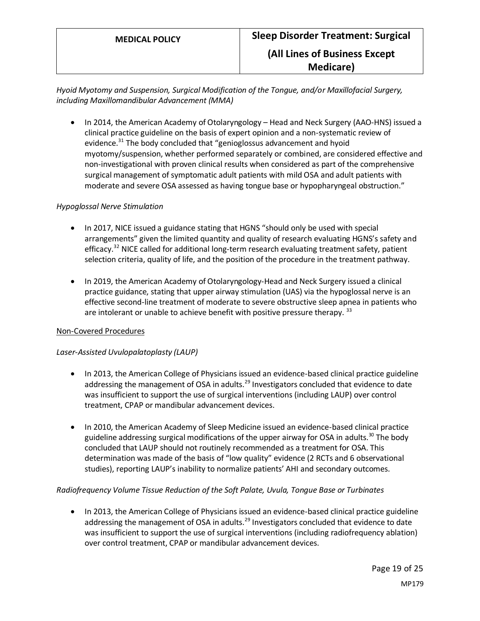*Hyoid Myotomy and Suspension, Surgical Modification of the Tongue, and/or Maxillofacial Surgery, including Maxillomandibular Advancement (MMA)*

• In 2014, the American Academy of Otolaryngology – Head and Neck Surgery (AAO-HNS) issued a clinical practice guideline on the basis of expert opinion and a non-systematic review of evidence.<sup>31</sup> The body concluded that "genioglossus advancement and hyoid myotomy/suspension, whether performed separately or combined, are considered effective and non-investigational with proven clinical results when considered as part of the comprehensive surgical management of symptomatic adult patients with mild OSA and adult patients with moderate and severe OSA assessed as having tongue base or hypopharyngeal obstruction."

#### *Hypoglossal Nerve Stimulation*

- In 2017, NICE issued a guidance stating that HGNS "should only be used with special arrangements" given the limited quantity and quality of research evaluating HGNS's safety and efficacy.<sup>32</sup> NICE called for additional long-term research evaluating treatment safety, patient selection criteria, quality of life, and the position of the procedure in the treatment pathway.
- In 2019, the American Academy of Otolaryngology-Head and Neck Surgery issued a clinical practice guidance, stating that upper airway stimulation (UAS) via the hypoglossal nerve is an effective second-line treatment of moderate to severe obstructive sleep apnea in patients who are intolerant or unable to achieve benefit with positive pressure therapy.  $33$

#### Non-Covered Procedures

#### *Laser-Assisted Uvulopalatoplasty (LAUP)*

- In 2013, the American College of Physicians issued an evidence-based clinical practice guideline addressing the management of OSA in adults.<sup>29</sup> Investigators concluded that evidence to date was insufficient to support the use of surgical interventions (including LAUP) over control treatment, CPAP or mandibular advancement devices.
- In 2010, the American Academy of Sleep Medicine issued an evidence-based clinical practice guideline addressing surgical modifications of the upper airway for OSA in adults. $30$  The body concluded that LAUP should not routinely recommended as a treatment for OSA. This determination was made of the basis of "low quality" evidence (2 RCTs and 6 observational studies), reporting LAUP's inability to normalize patients' AHI and secondary outcomes.

#### *Radiofrequency Volume Tissue Reduction of the Soft Palate, Uvula, Tongue Base or Turbinates*

• In 2013, the American College of Physicians issued an evidence-based clinical practice guideline addressing the management of OSA in adults.<sup>29</sup> Investigators concluded that evidence to date was insufficient to support the use of surgical interventions (including radiofrequency ablation) over control treatment, CPAP or mandibular advancement devices.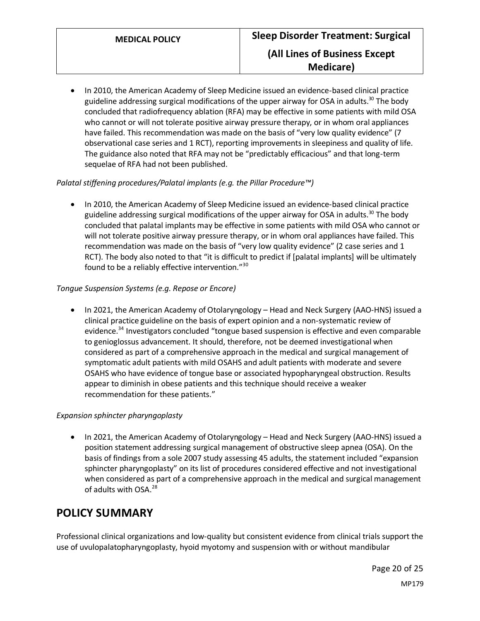• In 2010, the American Academy of Sleep Medicine issued an evidence-based clinical practice guideline addressing surgical modifications of the upper airway for OSA in adults.<sup>30</sup> The body concluded that radiofrequency ablation (RFA) may be effective in some patients with mild OSA who cannot or will not tolerate positive airway pressure therapy, or in whom oral appliances have failed. This recommendation was made on the basis of "very low quality evidence" (7 observational case series and 1 RCT), reporting improvements in sleepiness and quality of life. The guidance also noted that RFA may not be "predictably efficacious" and that long-term sequelae of RFA had not been published.

#### *Palatal stiffening procedures/Palatal implants (e.g. the Pillar Procedure™)*

• In 2010, the American Academy of Sleep Medicine issued an evidence-based clinical practice guideline addressing surgical modifications of the upper airway for OSA in adults.<sup>30</sup> The body concluded that palatal implants may be effective in some patients with mild OSA who cannot or will not tolerate positive airway pressure therapy, or in whom oral appliances have failed. This recommendation was made on the basis of "very low quality evidence" (2 case series and 1 RCT). The body also noted to that "it is difficult to predict if [palatal implants] will be ultimately found to be a reliably effective intervention."<sup>30</sup>

#### *Tongue Suspension Systems (e.g. Repose or Encore)*

• In 2021, the American Academy of Otolaryngology – Head and Neck Surgery (AAO-HNS) issued a clinical practice guideline on the basis of expert opinion and a non-systematic review of evidence.<sup>34</sup> Investigators concluded "tongue based suspension is effective and even comparable to genioglossus advancement. It should, therefore, not be deemed investigational when considered as part of a comprehensive approach in the medical and surgical management of symptomatic adult patients with mild OSAHS and adult patients with moderate and severe OSAHS who have evidence of tongue base or associated hypopharyngeal obstruction. Results appear to diminish in obese patients and this technique should receive a weaker recommendation for these patients."

#### *Expansion sphincter pharyngoplasty*

• In 2021, the American Academy of Otolaryngology – Head and Neck Surgery (AAO-HNS) issued a position statement addressing surgical management of obstructive sleep apnea (OSA). On the basis of findings from a sole 2007 study assessing 45 adults, the statement included "expansion sphincter pharyngoplasty" on its list of procedures considered effective and not investigational when considered as part of a comprehensive approach in the medical and surgical management of adults with OSA.<sup>28</sup>

## <span id="page-19-0"></span>**POLICY SUMMARY**

Professional clinical organizations and low-quality but consistent evidence from clinical trials support the use of uvulopalatopharyngoplasty, hyoid myotomy and suspension with or without mandibular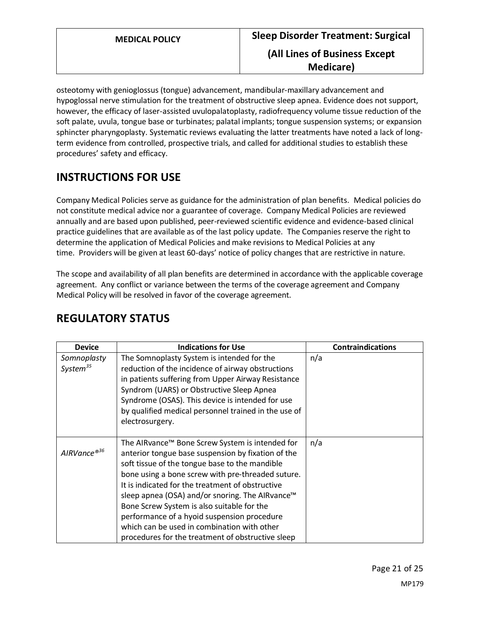osteotomy with genioglossus (tongue) advancement, mandibular-maxillary advancement and hypoglossal nerve stimulation for the treatment of obstructive sleep apnea. Evidence does not support, however, the efficacy of laser-assisted uvulopalatoplasty, radiofrequency volume tissue reduction of the soft palate, uvula, tongue base or turbinates; palatal implants; tongue suspension systems; or expansion sphincter pharyngoplasty. Systematic reviews evaluating the latter treatments have noted a lack of longterm evidence from controlled, prospective trials, and called for additional studies to establish these procedures' safety and efficacy.

# **INSTRUCTIONS FOR USE**

Company Medical Policies serve as guidance for the administration of plan benefits. Medical policies do not constitute medical advice nor a guarantee of coverage. Company Medical Policies are reviewed annually and are based upon published, peer-reviewed scientific evidence and evidence-based clinical practice guidelines that are available as of the last policy update. The Companies reserve the right to determine the application of Medical Policies and make revisions to Medical Policies at any time. Providers will be given at least 60-days' notice of policy changes that are restrictive in nature.

The scope and availability of all plan benefits are determined in accordance with the applicable coverage agreement. Any conflict or variance between the terms of the coverage agreement and Company Medical Policy will be resolved in favor of the coverage agreement.

| <b>Device</b>                       | <b>Indications for Use</b>                                                                                                                                                                                                                                                                                                                                                                                                                                                                                                       | <b>Contraindications</b> |
|-------------------------------------|----------------------------------------------------------------------------------------------------------------------------------------------------------------------------------------------------------------------------------------------------------------------------------------------------------------------------------------------------------------------------------------------------------------------------------------------------------------------------------------------------------------------------------|--------------------------|
| Somnoplasty<br>System <sup>35</sup> | The Somnoplasty System is intended for the<br>reduction of the incidence of airway obstructions<br>in patients suffering from Upper Airway Resistance<br>Syndrom (UARS) or Obstructive Sleep Apnea<br>Syndrome (OSAS). This device is intended for use<br>by qualified medical personnel trained in the use of<br>electrosurgery.                                                                                                                                                                                                | n/a                      |
| AIRVance®36                         | The AIRvance™ Bone Screw System is intended for<br>anterior tongue base suspension by fixation of the<br>soft tissue of the tongue base to the mandible<br>bone using a bone screw with pre-threaded suture.<br>It is indicated for the treatment of obstructive<br>sleep apnea (OSA) and/or snoring. The AlRvance <sup>™</sup><br>Bone Screw System is also suitable for the<br>performance of a hyoid suspension procedure<br>which can be used in combination with other<br>procedures for the treatment of obstructive sleep | n/a                      |

# **REGULATORY STATUS**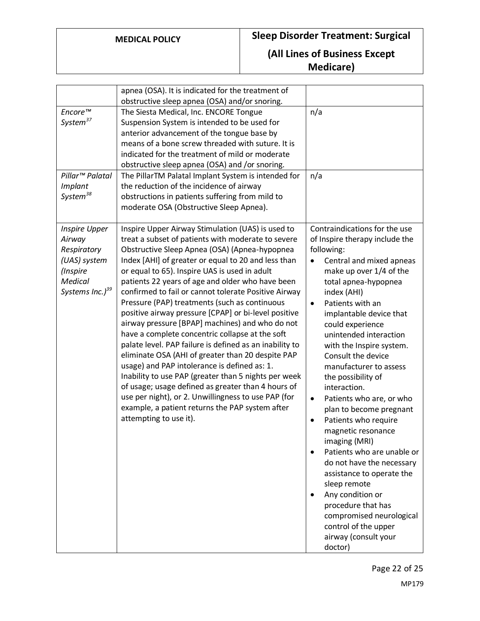|                                                                                                                            | apnea (OSA). It is indicated for the treatment of<br>obstructive sleep apnea (OSA) and/or snoring.                                                                                                                                                                                                                                                                                                                                                                                                                                                                                                                                                                                                                                                                                                                                                                                                                                                                                                            |                                                                                                                                                                                                                                                                                                                                                                                                                                                                                                                                                                                                                                                                                                                                                                                                               |
|----------------------------------------------------------------------------------------------------------------------------|---------------------------------------------------------------------------------------------------------------------------------------------------------------------------------------------------------------------------------------------------------------------------------------------------------------------------------------------------------------------------------------------------------------------------------------------------------------------------------------------------------------------------------------------------------------------------------------------------------------------------------------------------------------------------------------------------------------------------------------------------------------------------------------------------------------------------------------------------------------------------------------------------------------------------------------------------------------------------------------------------------------|---------------------------------------------------------------------------------------------------------------------------------------------------------------------------------------------------------------------------------------------------------------------------------------------------------------------------------------------------------------------------------------------------------------------------------------------------------------------------------------------------------------------------------------------------------------------------------------------------------------------------------------------------------------------------------------------------------------------------------------------------------------------------------------------------------------|
| Encore™<br>System <sup>37</sup>                                                                                            | The Siesta Medical, Inc. ENCORE Tongue<br>Suspension System is intended to be used for<br>anterior advancement of the tongue base by<br>means of a bone screw threaded with suture. It is<br>indicated for the treatment of mild or moderate<br>obstructive sleep apnea (OSA) and /or snoring.                                                                                                                                                                                                                                                                                                                                                                                                                                                                                                                                                                                                                                                                                                                | n/a                                                                                                                                                                                                                                                                                                                                                                                                                                                                                                                                                                                                                                                                                                                                                                                                           |
| Pillar <sup>™</sup> Palatal<br>Implant<br>System <sup>38</sup>                                                             | The PillarTM Palatal Implant System is intended for<br>the reduction of the incidence of airway<br>obstructions in patients suffering from mild to<br>moderate OSA (Obstructive Sleep Apnea).                                                                                                                                                                                                                                                                                                                                                                                                                                                                                                                                                                                                                                                                                                                                                                                                                 | n/a                                                                                                                                                                                                                                                                                                                                                                                                                                                                                                                                                                                                                                                                                                                                                                                                           |
| <b>Inspire Upper</b><br>Airway<br>Respiratory<br>(UAS) system<br>(Inspire<br><b>Medical</b><br>Systems Inc.) <sup>39</sup> | Inspire Upper Airway Stimulation (UAS) is used to<br>treat a subset of patients with moderate to severe<br>Obstructive Sleep Apnea (OSA) (Apnea-hypopnea<br>Index [AHI] of greater or equal to 20 and less than<br>or equal to 65). Inspire UAS is used in adult<br>patients 22 years of age and older who have been<br>confirmed to fail or cannot tolerate Positive Airway<br>Pressure (PAP) treatments (such as continuous<br>positive airway pressure [CPAP] or bi-level positive<br>airway pressure [BPAP] machines) and who do not<br>have a complete concentric collapse at the soft<br>palate level. PAP failure is defined as an inability to<br>eliminate OSA (AHI of greater than 20 despite PAP<br>usage) and PAP intolerance is defined as: 1.<br>Inability to use PAP (greater than 5 nights per week<br>of usage; usage defined as greater than 4 hours of<br>use per night), or 2. Unwillingness to use PAP (for<br>example, a patient returns the PAP system after<br>attempting to use it). | Contraindications for the use<br>of Inspire therapy include the<br>following:<br>Central and mixed apneas<br>$\bullet$<br>make up over 1/4 of the<br>total apnea-hypopnea<br>index (AHI)<br>Patients with an<br>$\bullet$<br>implantable device that<br>could experience<br>unintended interaction<br>with the Inspire system.<br>Consult the device<br>manufacturer to assess<br>the possibility of<br>interaction.<br>Patients who are, or who<br>$\bullet$<br>plan to become pregnant<br>Patients who require<br>$\bullet$<br>magnetic resonance<br>imaging (MRI)<br>Patients who are unable or<br>do not have the necessary<br>assistance to operate the<br>sleep remote<br>Any condition or<br>procedure that has<br>compromised neurological<br>control of the upper<br>airway (consult your<br>doctor) |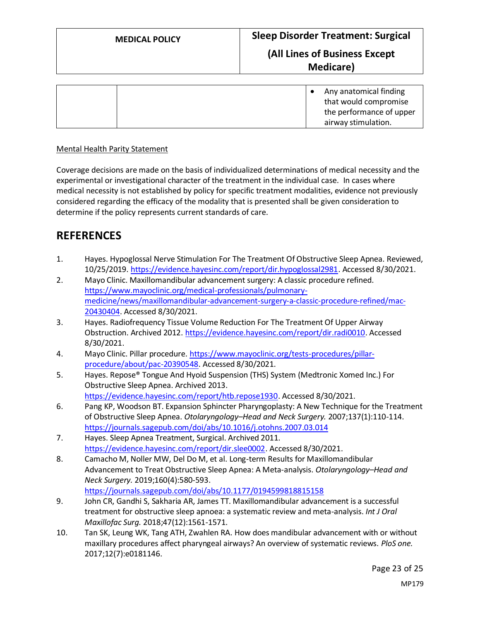|  | Any anatomical finding   |
|--|--------------------------|
|  | that would compromise    |
|  | the performance of upper |
|  | airway stimulation.      |

#### Mental Health Parity Statement

Coverage decisions are made on the basis of individualized determinations of medical necessity and the experimental or investigational character of the treatment in the individual case. In cases where medical necessity is not established by policy for specific treatment modalities, evidence not previously considered regarding the efficacy of the modality that is presented shall be given consideration to determine if the policy represents current standards of care.

## **REFERENCES**

- 1. Hayes. Hypoglossal Nerve Stimulation For The Treatment Of Obstructive Sleep Apnea. Reviewed, 10/25/2019[. https://evidence.hayesinc.com/report/dir.hypoglossal2981.](https://evidence.hayesinc.com/report/dir.hypoglossal2981) Accessed 8/30/2021.
- 2. Mayo Clinic. Maxillomandibular advancement surgery: A classic procedure refined. [https://www.mayoclinic.org/medical-professionals/pulmonary](https://www.mayoclinic.org/medical-professionals/pulmonary-medicine/news/maxillomandibular-advancement-surgery-a-classic-procedure-refined/mac-20430404)[medicine/news/maxillomandibular-advancement-surgery-a-classic-procedure-refined/mac-](https://www.mayoclinic.org/medical-professionals/pulmonary-medicine/news/maxillomandibular-advancement-surgery-a-classic-procedure-refined/mac-20430404)[20430404.](https://www.mayoclinic.org/medical-professionals/pulmonary-medicine/news/maxillomandibular-advancement-surgery-a-classic-procedure-refined/mac-20430404) Accessed 8/30/2021.
- 3. Hayes. Radiofrequency Tissue Volume Reduction For The Treatment Of Upper Airway Obstruction. Archived 2012. [https://evidence.hayesinc.com/report/dir.radi0010.](https://evidence.hayesinc.com/report/dir.radi0010) Accessed 8/30/2021.
- 4. Mayo Clinic. Pillar procedure[. https://www.mayoclinic.org/tests-procedures/pillar](https://www.mayoclinic.org/tests-procedures/pillar-procedure/about/pac-20390548)[procedure/about/pac-20390548.](https://www.mayoclinic.org/tests-procedures/pillar-procedure/about/pac-20390548) Accessed 8/30/2021.
- 5. Hayes. Repose® Tongue And Hyoid Suspension (THS) System (Medtronic Xomed Inc.) For Obstructive Sleep Apnea. Archived 2013. [https://evidence.hayesinc.com/report/htb.repose1930.](https://evidence.hayesinc.com/report/htb.repose1930) Accessed 8/30/2021.
- 6. Pang KP, Woodson BT. Expansion Sphincter Pharyngoplasty: A New Technique for the Treatment of Obstructive Sleep Apnea. *Otolaryngology–Head and Neck Surgery.* 2007;137(1):110-114. <https://journals.sagepub.com/doi/abs/10.1016/j.otohns.2007.03.014>
- 7. Hayes. Sleep Apnea Treatment, Surgical. Archived 2011. [https://evidence.hayesinc.com/report/dir.slee0002.](https://evidence.hayesinc.com/report/dir.slee0002) Accessed 8/30/2021.
- 8. Camacho M, Noller MW, Del Do M, et al. Long-term Results for Maxillomandibular Advancement to Treat Obstructive Sleep Apnea: A Meta-analysis. *Otolaryngology–Head and Neck Surgery.* 2019;160(4):580-593. <https://journals.sagepub.com/doi/abs/10.1177/0194599818815158>
- 9. John CR, Gandhi S, Sakharia AR, James TT. Maxillomandibular advancement is a successful treatment for obstructive sleep apnoea: a systematic review and meta-analysis. *Int J Oral Maxillofac Surg.* 2018;47(12):1561-1571.
- 10. Tan SK, Leung WK, Tang ATH, Zwahlen RA. How does mandibular advancement with or without maxillary procedures affect pharyngeal airways? An overview of systematic reviews. *PloS one.*  2017;12(7):e0181146.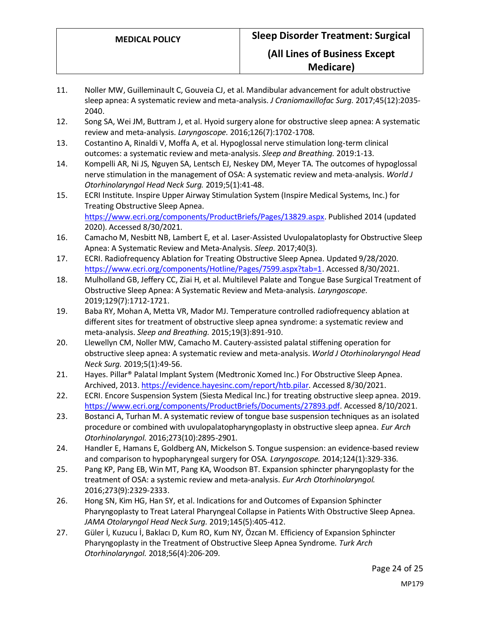- 11. Noller MW, Guilleminault C, Gouveia CJ, et al. Mandibular advancement for adult obstructive sleep apnea: A systematic review and meta-analysis. *J Craniomaxillofac Surg.* 2017;45(12):2035- 2040.
- 12. Song SA, Wei JM, Buttram J, et al. Hyoid surgery alone for obstructive sleep apnea: A systematic review and meta-analysis. *Laryngoscope.* 2016;126(7):1702-1708.
- 13. Costantino A, Rinaldi V, Moffa A, et al. Hypoglossal nerve stimulation long-term clinical outcomes: a systematic review and meta-analysis. *Sleep and Breathing.* 2019:1-13.
- 14. Kompelli AR, Ni JS, Nguyen SA, Lentsch EJ, Neskey DM, Meyer TA. The outcomes of hypoglossal nerve stimulation in the management of OSA: A systematic review and meta-analysis. *World J Otorhinolaryngol Head Neck Surg.* 2019;5(1):41-48.
- 15. ECRI Institute. Inspire Upper Airway Stimulation System (Inspire Medical Systems, Inc.) for Treating Obstructive Sleep Apnea. [https://www.ecri.org/components/ProductBriefs/Pages/13829.aspx.](https://www.ecri.org/components/ProductBriefs/Pages/13829.aspx) Published 2014 (updated 2020). Accessed 8/30/2021.
- 16. Camacho M, Nesbitt NB, Lambert E, et al. Laser-Assisted Uvulopalatoplasty for Obstructive Sleep Apnea: A Systematic Review and Meta-Analysis. *Sleep.* 2017;40(3).
- 17. ECRI. Radiofrequency Ablation for Treating Obstructive Sleep Apnea. Updated 9/28/2020. [https://www.ecri.org/components/Hotline/Pages/7599.aspx?tab=1.](https://www.ecri.org/components/Hotline/Pages/7599.aspx?tab=1) Accessed 8/30/2021.
- 18. Mulholland GB, Jeffery CC, Ziai H, et al. Multilevel Palate and Tongue Base Surgical Treatment of Obstructive Sleep Apnea: A Systematic Review and Meta-analysis. *Laryngoscope.*  2019;129(7):1712-1721.
- 19. Baba RY, Mohan A, Metta VR, Mador MJ. Temperature controlled radiofrequency ablation at different sites for treatment of obstructive sleep apnea syndrome: a systematic review and meta-analysis. *Sleep and Breathing.* 2015;19(3):891-910.
- 20. Llewellyn CM, Noller MW, Camacho M. Cautery-assisted palatal stiffening operation for obstructive sleep apnea: A systematic review and meta-analysis. *World J Otorhinolaryngol Head Neck Surg.* 2019;5(1):49-56.
- 21. Hayes. Pillar® Palatal Implant System (Medtronic Xomed Inc.) For Obstructive Sleep Apnea. Archived, 2013[. https://evidence.hayesinc.com/report/htb.pilar.](https://evidence.hayesinc.com/report/htb.pilar) Accessed 8/30/2021.
- 22. ECRI. Encore Suspension System (Siesta Medical Inc.) for treating obstructive sleep apnea. 2019. [https://www.ecri.org/components/ProductBriefs/Documents/27893.pdf.](https://www.ecri.org/components/ProductBriefs/Documents/27893.pdf) Accessed 8/10/2021.
- 23. Bostanci A, Turhan M. A systematic review of tongue base suspension techniques as an isolated procedure or combined with uvulopalatopharyngoplasty in obstructive sleep apnea. *Eur Arch Otorhinolaryngol.* 2016;273(10):2895-2901.
- 24. Handler E, Hamans E, Goldberg AN, Mickelson S. Tongue suspension: an evidence-based review and comparison to hypopharyngeal surgery for OSA. *Laryngoscope.* 2014;124(1):329-336.
- 25. Pang KP, Pang EB, Win MT, Pang KA, Woodson BT. Expansion sphincter pharyngoplasty for the treatment of OSA: a systemic review and meta-analysis. *Eur Arch Otorhinolaryngol.*  2016;273(9):2329-2333.
- 26. Hong SN, Kim HG, Han SY, et al. Indications for and Outcomes of Expansion Sphincter Pharyngoplasty to Treat Lateral Pharyngeal Collapse in Patients With Obstructive Sleep Apnea. *JAMA Otolaryngol Head Neck Surg.* 2019;145(5):405-412.
- 27. Güler İ, Kuzucu İ, Baklacı D, Kum RO, Kum NY, Özcan M. Efficiency of Expansion Sphincter Pharyngoplasty in the Treatment of Obstructive Sleep Apnea Syndrome. *Turk Arch Otorhinolaryngol.* 2018;56(4):206-209.